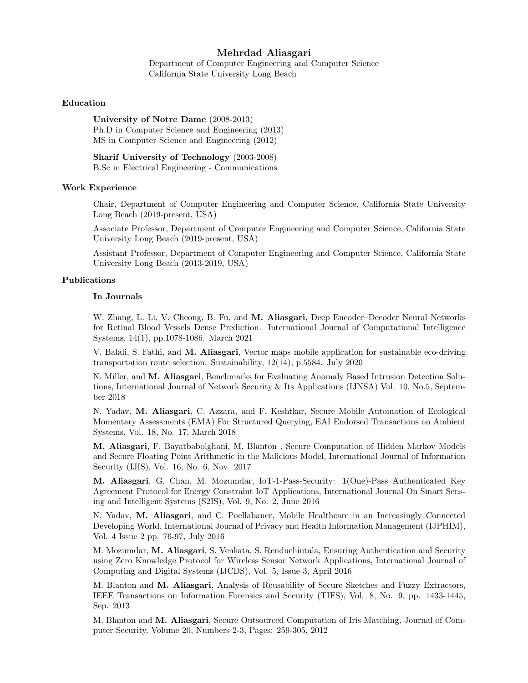# Mehrdad Aliasgari

Department of Computer Engineering and Computer Science California State University Long Beach

#### Education

University of Notre Dame (2008-2013) Ph.D in Computer Science and Engineering (2013) MS in Computer Science and Engineering (2012)

Sharif University of Technology (2003-2008) B.Sc in Electrical Engineering - Communications

#### Work Experience

Chair, Department of Computer Engineering and Computer Science, California State University Long Beach (2019-present, USA)

Associate Professor, Department of Computer Engineering and Computer Science, California State University Long Beach (2019-present, USA)

Assistant Professor, Department of Computer Engineering and Computer Science, California State University Long Beach (2013-2019, USA)

## Publications

#### In Journals

W. Zhang, L. Li, V. Cheong, B. Fu, and M. Aliasgari, Deep Encoder–Decoder Neural Networks for Retinal Blood Vessels Dense Prediction. International Journal of Computational Intelligence Systems, 14(1), pp.1078-1086. March 2021

V. Balali, S. Fathi, and M. Aliasgari, Vector maps mobile application for sustainable eco-driving transportation route selection. Sustainability, 12(14), p.5584. July 2020

N. Miller, and M. Aliasgari, Benchmarks for Evaluating Anomaly Based Intrusion Detection Solutions, International Journal of Network Security & Its Applications (IJNSA) Vol. 10, No.5, September 2018

N. Yadav, M. Aliasgari, C. Azzara, and F. Keshtkar, Secure Mobile Automation of Ecological Momentary Assessments (EMA) For Structured Querying, EAI Endorsed Transactions on Ambient Systems, Vol. 18, No. 17, March 2018

M. Aliasgari, F. Bayatbabolghani, M. Blanton , Secure Computation of Hidden Markov Models and Secure Floating Point Arithmetic in the Malicious Model, International Journal of Information Security (IJIS), Vol. 16, No. 6, Nov. 2017

M. Aliasgari, G. Chan, M. Mozumdar, IoT-1-Pass-Security: 1(One)-Pass Authenticated Key Agreement Protocol for Energy Constraint IoT Applications, International Journal On Smart Sensing and Intelligent Systems (S2IS), Vol. 9, No. 2, June 2016

N. Yadav, M. Aliasgari, and C. Poellabauer, Mobile Healthcare in an Increasingly Connected Developing World, International Journal of Privacy and Health Information Management (IJPHIM), Vol. 4 Issue 2 pp. 76-97, July 2016

M. Mozumdar, M. Aliasgari, S. Venkata, S. Renduchintala, Ensuring Authentication and Security using Zero Knowledge Protocol for Wireless Sensor Network Applications, International Journal of Computing and Digital Systems (IJCDS), Vol. 5, Issue 3, April 2016

M. Blanton and M. Aliasgari, Analysis of Reusability of Secure Sketches and Fuzzy Extractors, IEEE Transactions on Information Forensics and Security (TIFS), Vol. 8, No. 9, pp. 1433-1445, Sep. 2013

M. Blanton and M. Aliasgari, Secure Outsourced Computation of Iris Matching, Journal of Computer Security, Volume 20, Numbers 2-3, Pages: 259-305, 2012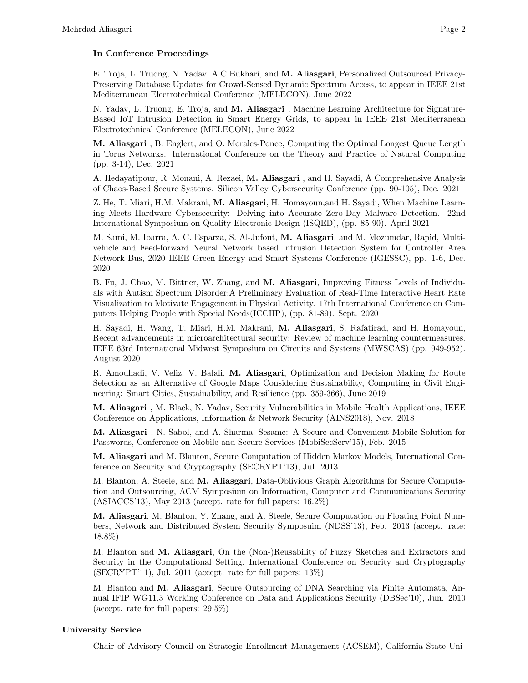### In Conference Proceedings

E. Troja, L. Truong, N. Yadav, A.C Bukhari, and M. Aliasgari, Personalized Outsourced Privacy-Preserving Database Updates for Crowd-Sensed Dynamic Spectrum Access, to appear in IEEE 21st Mediterranean Electrotechnical Conference (MELECON), June 2022

N. Yadav, L. Truong, E. Troja, and M. Aliasgari, Machine Learning Architecture for Signature-Based IoT Intrusion Detection in Smart Energy Grids, to appear in IEEE 21st Mediterranean Electrotechnical Conference (MELECON), June 2022

M. Aliasgari , B. Englert, and O. Morales-Ponce, Computing the Optimal Longest Queue Length in Torus Networks. International Conference on the Theory and Practice of Natural Computing (pp. 3-14), Dec. 2021

A. Hedayatipour, R. Monani, A. Rezaei, M. Aliasgari , and H. Sayadi, A Comprehensive Analysis of Chaos-Based Secure Systems. Silicon Valley Cybersecurity Conference (pp. 90-105), Dec. 2021

Z. He, T. Miari, H.M. Makrani, M. Aliasgari, H. Homayoun,and H. Sayadi, When Machine Learning Meets Hardware Cybersecurity: Delving into Accurate Zero-Day Malware Detection. 22nd International Symposium on Quality Electronic Design (ISQED), (pp. 85-90). April 2021

M. Sami, M. Ibarra, A. C. Esparza, S. Al-Jufout, M. Aliasgari, and M. Mozumdar, Rapid, Multivehicle and Feed-forward Neural Network based Intrusion Detection System for Controller Area Network Bus, 2020 IEEE Green Energy and Smart Systems Conference (IGESSC), pp. 1-6, Dec. 2020

B. Fu, J. Chao, M. Bittner, W. Zhang, and M. Aliasgari, Improving Fitness Levels of Individuals with Autism Spectrum Disorder:A Preliminary Evaluation of Real-Time Interactive Heart Rate Visualization to Motivate Engagement in Physical Activity. 17th International Conference on Computers Helping People with Special Needs(ICCHP), (pp. 81-89). Sept. 2020

H. Sayadi, H. Wang, T. Miari, H.M. Makrani, M. Aliasgari, S. Rafatirad, and H. Homayoun, Recent advancements in microarchitectural security: Review of machine learning countermeasures. IEEE 63rd International Midwest Symposium on Circuits and Systems (MWSCAS) (pp. 949-952). August 2020

R. Amouhadi, V. Veliz, V. Balali, M. Aliasgari, Optimization and Decision Making for Route Selection as an Alternative of Google Maps Considering Sustainability, Computing in Civil Engineering: Smart Cities, Sustainability, and Resilience (pp. 359-366), June 2019

M. Aliasgari , M. Black, N. Yadav, Security Vulnerabilities in Mobile Health Applications, IEEE Conference on Applications, Information & Network Security (AINS2018), Nov. 2018

M. Aliasgari , N. Sabol, and A. Sharma, Sesame: A Secure and Convenient Mobile Solution for Passwords, Conference on Mobile and Secure Services (MobiSecServ'15), Feb. 2015

M. Aliasgari and M. Blanton, Secure Computation of Hidden Markov Models, International Conference on Security and Cryptography (SECRYPT'13), Jul. 2013

M. Blanton, A. Steele, and M. Aliasgari, Data-Oblivious Graph Algorithms for Secure Computation and Outsourcing, ACM Symposium on Information, Computer and Communications Security (ASIACCS'13), May 2013 (accept. rate for full papers: 16.2%)

M. Aliasgari, M. Blanton, Y. Zhang, and A. Steele, Secure Computation on Floating Point Numbers, Network and Distributed System Security Symposuim (NDSS'13), Feb. 2013 (accept. rate: 18.8%)

M. Blanton and M. Aliasgari, On the (Non-)Reusability of Fuzzy Sketches and Extractors and Security in the Computational Setting, International Conference on Security and Cryptography (SECRYPT'11), Jul. 2011 (accept. rate for full papers: 13%)

M. Blanton and M. Aliasgari, Secure Outsourcing of DNA Searching via Finite Automata, Annual IFIP WG11.3 Working Conference on Data and Applications Security (DBSec'10), Jun. 2010 (accept. rate for full papers: 29.5%)

### University Service

Chair of Advisory Council on Strategic Enrollment Management (ACSEM), California State Uni-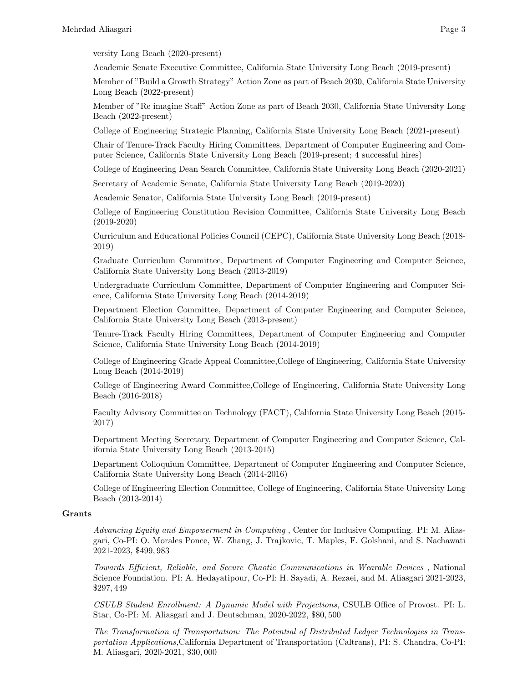versity Long Beach (2020-present)

Academic Senate Executive Committee, California State University Long Beach (2019-present)

Member of "Build a Growth Strategy" Action Zone as part of Beach 2030, California State University Long Beach (2022-present)

Member of "Re imagine Staff" Action Zone as part of Beach 2030, California State University Long Beach (2022-present)

College of Engineering Strategic Planning, California State University Long Beach (2021-present)

Chair of Tenure-Track Faculty Hiring Committees, Department of Computer Engineering and Computer Science, California State University Long Beach (2019-present; 4 successful hires)

College of Engineering Dean Search Committee, California State University Long Beach (2020-2021)

Secretary of Academic Senate, California State University Long Beach (2019-2020)

Academic Senator, California State University Long Beach (2019-present)

College of Engineering Constitution Revision Committee, California State University Long Beach (2019-2020)

Curriculum and Educational Policies Council (CEPC), California State University Long Beach (2018- 2019)

Graduate Curriculum Committee, Department of Computer Engineering and Computer Science, California State University Long Beach (2013-2019)

Undergraduate Curriculum Committee, Department of Computer Engineering and Computer Science, California State University Long Beach (2014-2019)

Department Election Committee, Department of Computer Engineering and Computer Science, California State University Long Beach (2013-present)

Tenure-Track Faculty Hiring Committees, Department of Computer Engineering and Computer Science, California State University Long Beach (2014-2019)

College of Engineering Grade Appeal Committee,College of Engineering, California State University Long Beach (2014-2019)

College of Engineering Award Committee,College of Engineering, California State University Long Beach (2016-2018)

Faculty Advisory Committee on Technology (FACT), California State University Long Beach (2015- 2017)

Department Meeting Secretary, Department of Computer Engineering and Computer Science, California State University Long Beach (2013-2015)

Department Colloquium Committee, Department of Computer Engineering and Computer Science, California State University Long Beach (2014-2016)

College of Engineering Election Committee, College of Engineering, California State University Long Beach (2013-2014)

#### Grants

Advancing Equity and Empowerment in Computing , Center for Inclusive Computing. PI: M. Aliasgari, Co-PI: O. Morales Ponce, W. Zhang, J. Trajkovic, T. Maples, F. Golshani, and S. Nachawati 2021-2023, \$499, 983

Towards Efficient, Reliable, and Secure Chaotic Communications in Wearable Devices , National Science Foundation. PI: A. Hedayatipour, Co-PI: H. Sayadi, A. Rezaei, and M. Aliasgari 2021-2023, \$297, 449

CSULB Student Enrollment: A Dynamic Model with Projections, CSULB Office of Provost. PI: L. Star, Co-PI: M. Aliasgari and J. Deutschman, 2020-2022, \$80, 500

The Transformation of Transportation: The Potential of Distributed Ledger Technologies in Transportation Applications,California Department of Transportation (Caltrans), PI: S. Chandra, Co-PI: M. Aliasgari, 2020-2021, \$30, 000